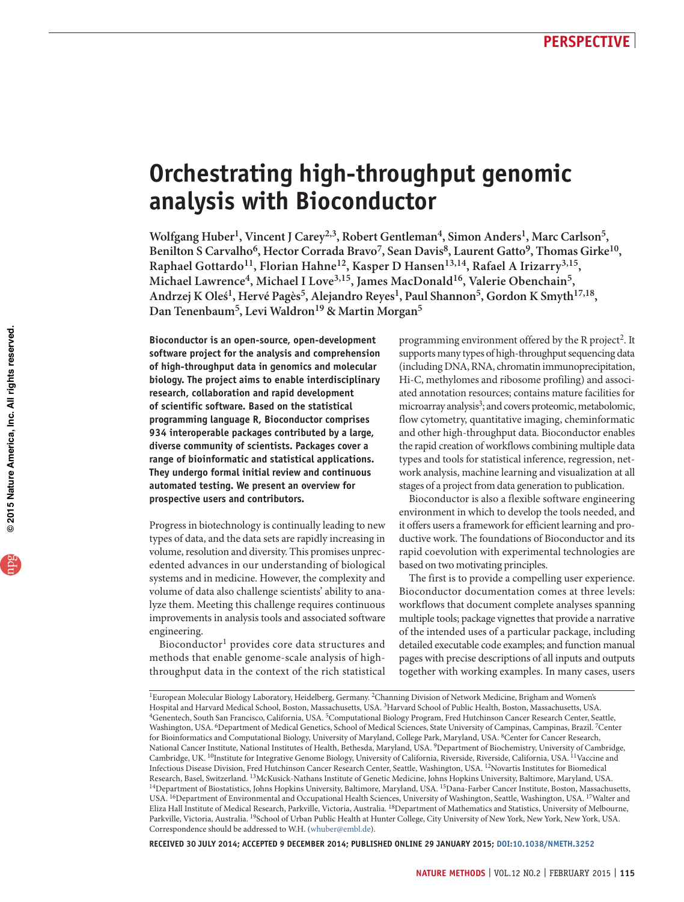# **Orchestrating high-throughput genomic analysis with Bioconductor**

Wolfgang Huber<sup>1</sup>, Vincent J Carey<sup>2,3</sup>, Robert Gentleman<sup>4</sup>, Simon Anders<sup>1</sup>, Marc Carlson<sup>5</sup>, Benilton S Carvalho<sup>6</sup>, Hector Corrada Bravo<sup>7</sup>, Sean Davis<sup>8</sup>, Laurent Gatto<sup>9</sup>, Thomas Girke<sup>10</sup>, **Raphael Gottardo11, Florian Hahne12, Kasper D Hansen13,14, Rafael A Irizarry3,15,**  Michael Lawrence<sup>4</sup>, Michael I Love<sup>3,15</sup>, James MacDonald<sup>16</sup>, Valerie Obenchain<sup>5</sup>, Andrzej K Oleś<sup>1</sup>, Hervé Pagès<sup>5</sup>, Alejandro Reyes<sup>1</sup>, Paul Shannon<sup>5</sup>, Gordon K Smyth<sup>17,18</sup>, **Dan Tenenbaum5, Levi Waldron19 & Martin Morgan5**

**Bioconductor is an open-source, open-development software project for the analysis and comprehension of high-throughput data in genomics and molecular biology. The project aims to enable interdisciplinary research, collaboration and rapid development of scientific software. Based on the statistical programming language R, Bioconductor comprises 934 interoperable packages contributed by a large, diverse community of scientists. Packages cover a range of bioinformatic and statistical applications. They undergo formal initial review and continuous automated testing. We present an overview for prospective users and contributors.**

Progress in biotechnology is continually leading to new types of data, and the data sets are rapidly increasing in volume, resolution and diversity. This promises unprecedented advances in our understanding of biological systems and in medicine. However, the complexity and volume of data also challenge scientists' ability to analyze them. Meeting this challenge requires continuous improvements in analysis tools and associated software engineering.

Bioconductor<sup>1</sup> provides core data structures and methods that enable genome-scale analysis of highthroughput data in the context of the rich statistical programming environment offered by the R project<sup>2</sup>. It supports many types of high-throughput sequencing data (including DNA, RNA, chromatin immunoprecipitation, Hi-C, methylomes and ribosome profiling) and associated annotation resources; contains mature facilities for microarray analysis<sup>3</sup>; and covers proteomic, metabolomic, flow cytometry, quantitative imaging, cheminformatic and other high-throughput data. Bioconductor enables the rapid creation of workflows combining multiple data types and tools for statistical inference, regression, network analysis, machine learning and visualization at all stages of a project from data generation to publication.

Bioconductor is also a flexible software engineering environment in which to develop the tools needed, and it offers users a framework for efficient learning and productive work. The foundations of Bioconductor and its rapid coevolution with experimental technologies are based on two motivating principles.

The first is to provide a compelling user experience. Bioconductor documentation comes at three levels: workflows that document complete analyses spanning multiple tools; package vignettes that provide a narrative of the intended uses of a particular package, including detailed executable code examples; and function manual pages with precise descriptions of all inputs and outputs together with working examples. In many cases, users

**RECEIVED 30 JULY 2014; ACCEPTED 9 DECEMBER 2014; PUBLISHED ONLINE 29 JANUARY 2015; [DOI:10.1038/NMETH.3252](http://www.nature.com/doifinder/10.1038/nmeth.3252)**

<sup>&</sup>lt;sup>1</sup>European Molecular Biology Laboratory, Heidelberg, Germany. <sup>2</sup>Channing Division of Network Medicine, Brigham and Women's<br>Hospital and Harvard Medical School, Boston, Massachusetts, USA. <sup>3</sup>Harvard School of Public Heal <sup>4</sup>Genentech, South San Francisco, California, USA.<sup>5</sup>Computational Biology Program, Fred Hutchinson Cancer Research Center, Seattle, Washington, USA. <sup>6</sup>Department of Medical Genetics, School of Medical Sciences, State University of Campinas, Campinas, Brazil. <sup>7</sup>Center for Bioinformatics and Computational Biology, University of Maryland, College Park, Maryland, USA. 8Center for Cancer Research, National Cancer Institute, National Institutes of Health, Bethesda, Maryland, USA. 9Department of Biochemistry, University of Cambridge, Cambridge, UK. <sup>10</sup>Institute for Integrative Genome Biology, University of California, Riverside, Riverside, California, USA. <sup>11</sup>Vaccine and Infectious Disease Division, Fred Hutchinson Cancer Research Center, Seattle, Washington, USA. <sup>12</sup>Novartis Institutes for Biomedical Research, Basel, Switzerland. <sup>13</sup>McKusick-Nathans Institute of Genetic Medicine, Johns <sup>14</sup>Department of Biostatistics, Johns Hopkins University, Baltimore, Maryland, USA.<sup>15</sup>Dana-Farber Cancer Institute, Boston, Massachusetts, USA. 16Department of Environmental and Occupational Health Sciences, University of Washington, Seattle, Washington, USA. 17Walter and Eliza Hall Institute of Medical Research, Parkville, Victoria, Australia. 18Department of Mathematics and Statistics, University of Melbourne, Parkville, Victoria, Australia. 19School of Urban Public Health at Hunter College, City University of New York, New York, New York, USA. Correspondence should be addressed to W.H. ([whuber@embl.de\)](mailto:whuber@embl.de).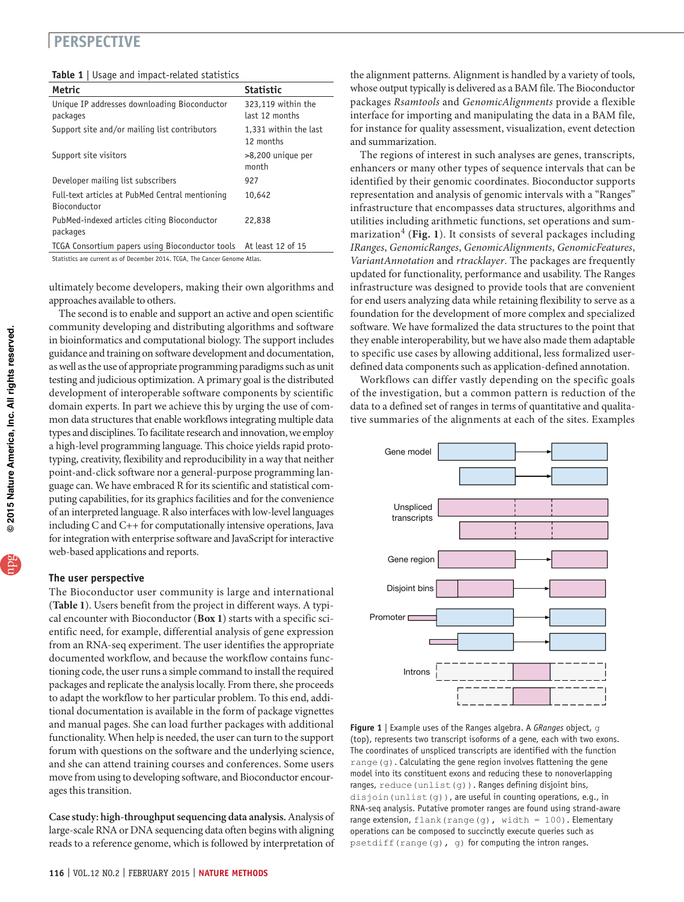|  | <b>Table 1</b>   Usage and impact-related statistics |
|--|------------------------------------------------------|
|--|------------------------------------------------------|

| Metric                                                            | <b>Statistic</b>                     |
|-------------------------------------------------------------------|--------------------------------------|
| Unique IP addresses downloading Bioconductor<br>packages          | 323,119 within the<br>last 12 months |
| Support site and/or mailing list contributors                     | 1,331 within the last<br>12 months   |
| Support site visitors                                             | >8,200 unique per<br>month           |
| Developer mailing list subscribers                                | 927                                  |
| Full-text articles at PubMed Central mentioning<br>Bioconductor   | 10,642                               |
| PubMed-indexed articles citing Bioconductor<br>packages           | 22,838                               |
| TCGA Consortium papers using Bioconductor tools At least 12 of 15 |                                      |

Statistics are current as of December 2014. TCGA, The Cancer Genome Atlas.

ultimately become developers, making their own algorithms and approaches available to others.

The second is to enable and support an active and open scientific community developing and distributing algorithms and software in bioinformatics and computational biology. The support includes guidance and training on software development and documentation, as well as the use of appropriate programming paradigms such as unit testing and judicious optimization. A primary goal is the distributed development of interoperable software components by scientific domain experts. In part we achieve this by urging the use of common data structures that enable workflows integrating multiple data types and disciplines. To facilitate research and innovation, we employ a high-level programming language. This choice yields rapid prototyping, creativity, flexibility and reproducibility in a way that neither point-and-click software nor a general-purpose programming language can. We have embraced R for its scientific and statistical computing capabilities, for its graphics facilities and for the convenience of an interpreted language. R also interfaces with low-level languages including C and C++ for computationally intensive operations, Java for integration with enterprise software and JavaScript for interactive web-based applications and reports.

#### **The user perspective**

The Bioconductor user community is large and international (**Table 1**). Users benefit from the project in different ways. A typical encounter with Bioconductor (**Box 1**) starts with a specific scientific need, for example, differential analysis of gene expression from an RNA-seq experiment. The user identifies the appropriate documented workflow, and because the workflow contains functioning code, the user runs a simple command to install the required packages and replicate the analysis locally. From there, she proceeds to adapt the workflow to her particular problem. To this end, additional documentation is available in the form of package vignettes and manual pages. She can load further packages with additional functionality. When help is needed, the user can turn to the support forum with questions on the software and the underlying science, and she can attend training courses and conferences. Some users move from using to developing software, and Bioconductor encourages this transition.

**Case study: high-throughput sequencing data analysis.** Analysis of large-scale RNA or DNA sequencing data often begins with aligning reads to a reference genome, which is followed by interpretation of the alignment patterns. Alignment is handled by a variety of tools, whose output typically is delivered as a BAM file. The Bioconductor packages *Rsamtools* and *GenomicAlignments* provide a flexible interface for importing and manipulating the data in a BAM file, for instance for quality assessment, visualization, event detection and summarization.

The regions of interest in such analyses are genes, transcripts, enhancers or many other types of sequence intervals that can be identified by their genomic coordinates. Bioconductor supports representation and analysis of genomic intervals with a "Ranges" infrastructure that encompasses data structures, algorithms and utilities including arithmetic functions, set operations and summarization<sup>4</sup> (Fig. 1). It consists of several packages including *IRanges*, *GenomicRanges*, *GenomicAlignments*, *GenomicFeatures*, *VariantAnnotation* and *rtracklayer*. The packages are frequently updated for functionality, performance and usability. The Ranges infrastructure was designed to provide tools that are convenient for end users analyzing data while retaining flexibility to serve as a foundation for the development of more complex and specialized software. We have formalized the data structures to the point that they enable interoperability, but we have also made them adaptable to specific use cases by allowing additional, less formalized userdefined data components such as application-defined annotation.

Workflows can differ vastly depending on the specific goals of the investigation, but a common pattern is reduction of the data to a defined set of ranges in terms of quantitative and qualitative summaries of the alignments at each of the sites. Examples



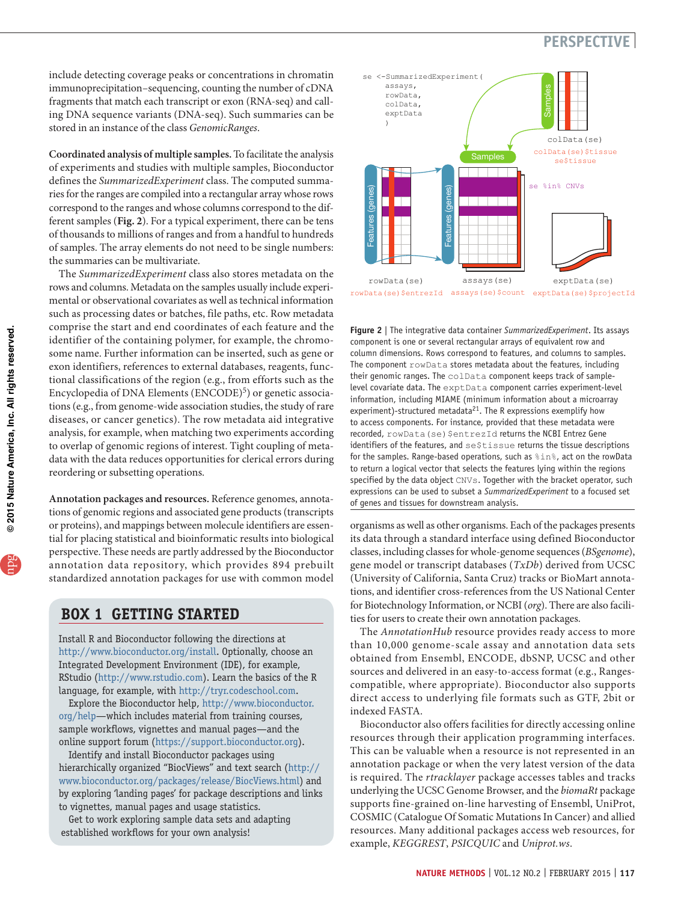include detecting coverage peaks or concentrations in chromatin immunoprecipitation–sequencing, counting the number of cDNA fragments that match each transcript or exon (RNA-seq) and calling DNA sequence variants (DNA-seq). Such summaries can be stored in an instance of the class *GenomicRanges*.

**Coordinated analysis of multiple samples.** To facilitate the analysis of experiments and studies with multiple samples, Bioconductor defines the *SummarizedExperiment* class. The computed summaries for the ranges are compiled into a rectangular array whose rows correspond to the ranges and whose columns correspond to the different samples (**Fig. 2**). For a typical experiment, there can be tens of thousands to millions of ranges and from a handful to hundreds of samples. The array elements do not need to be single numbers: the summaries can be multivariate.

The *SummarizedExperiment* class also stores metadata on the rows and columns. Metadata on the samples usually include experimental or observational covariates as well as technical information such as processing dates or batches, file paths, etc. Row metadata comprise the start and end coordinates of each feature and the identifier of the containing polymer, for example, the chromosome name. Further information can be inserted, such as gene or exon identifiers, references to external databases, reagents, functional classifications of the region (e.g., from efforts such as the Encyclopedia of DNA Elements (ENCODE)<sup>5</sup>) or genetic associations (e.g., from genome-wide association studies, the study of rare diseases, or cancer genetics). The row metadata aid integrative analysis, for example, when matching two experiments according to overlap of genomic regions of interest. Tight coupling of metadata with the data reduces opportunities for clerical errors during reordering or subsetting operations.

**Annotation packages and resources.** Reference genomes, annotations of genomic regions and associated gene products (transcripts or proteins), and mappings between molecule identifiers are essential for placing statistical and bioinformatic results into biological perspective. These needs are partly addressed by the Bioconductor annotation data repository, which provides 894 prebuilt standardized annotation packages for use with common model

### **BOX 1 GETTING STARTED**

Install R and Bioconductor following the directions at http://www.bioconductor.org/install. Optionally, choose an Integrated Development Environment (IDE), for example, RStudio (http://www.rstudio.com). Learn the basics of the R language, for example, with http://tryr.codeschool.com.

Explore the Bioconductor help, [http://www.bioconductor.](http://www.bioconductor.org/help) [org/help](http://www.bioconductor.org/help)—which includes material from training courses, sample workflows, vignettes and manual pages—and the online support forum (https://support.bioconductor.org).

Identify and install Bioconductor packages using hierarchically organized "BiocViews" and text search (http:// www.bioconductor.org/packages/release/BiocViews.html) and by exploring 'landing pages' for package descriptions and links to vignettes, manual pages and usage statistics.

Get to work exploring sample data sets and adapting established workflows for your own analysis!



**Figure 2** | The integrative data container *SummarizedExperiment*. Its assays component is one or several rectangular arrays of equivalent row and column dimensions. Rows correspond to features, and columns to samples. The component  $r$ owData stores metadata about the features, including their genomic ranges. The colData component keeps track of samplelevel covariate data. The exptData component carries experiment-level information, including MIAME (minimum information about a microarray experiment)-structured metadata $^{21}$ . The R expressions exemplify how to access components. For instance, provided that these metadata were recorded, rowData(se) \$entrezId returns the NCBI Entrez Gene identifiers of the features, and se\$tissue returns the tissue descriptions for the samples. Range-based operations, such as  $sin$ %, act on the rowData to return a logical vector that selects the features lying within the regions specified by the data object CNVs. Together with the bracket operator, such expressions can be used to subset a *SummarizedExperiment* to a focused set of genes and tissues for downstream analysis.

organisms as well as other organisms. Each of the packages presents its data through a standard interface using defined Bioconductor classes, including classes for whole-genome sequences (*BSgenome*), gene model or transcript databases (*TxDb*) derived from UCSC (University of California, Santa Cruz) tracks or BioMart annotations, and identifier cross-references from the US National Center for Biotechnology Information, or NCBI (*org*). There are also facilities for users to create their own annotation packages.

The *AnnotationHub* resource provides ready access to more than 10,000 genome-scale assay and annotation data sets obtained from Ensembl, ENCODE, dbSNP, UCSC and other sources and delivered in an easy-to-access format (e.g., Rangescompatible, where appropriate). Bioconductor also supports direct access to underlying file formats such as GTF, 2bit or indexed FASTA.

Bioconductor also offers facilities for directly accessing online resources through their application programming interfaces. This can be valuable when a resource is not represented in an annotation package or when the very latest version of the data is required. The *rtracklayer* package accesses tables and tracks underlying the UCSC Genome Browser, and the *biomaRt* package supports fine-grained on-line harvesting of Ensembl, UniProt, COSMIC (Catalogue Of Somatic Mutations In Cancer) and allied resources. Many additional packages access web resources, for example, *KEGGREST*, *PSICQUIC* and *Uniprot.ws*.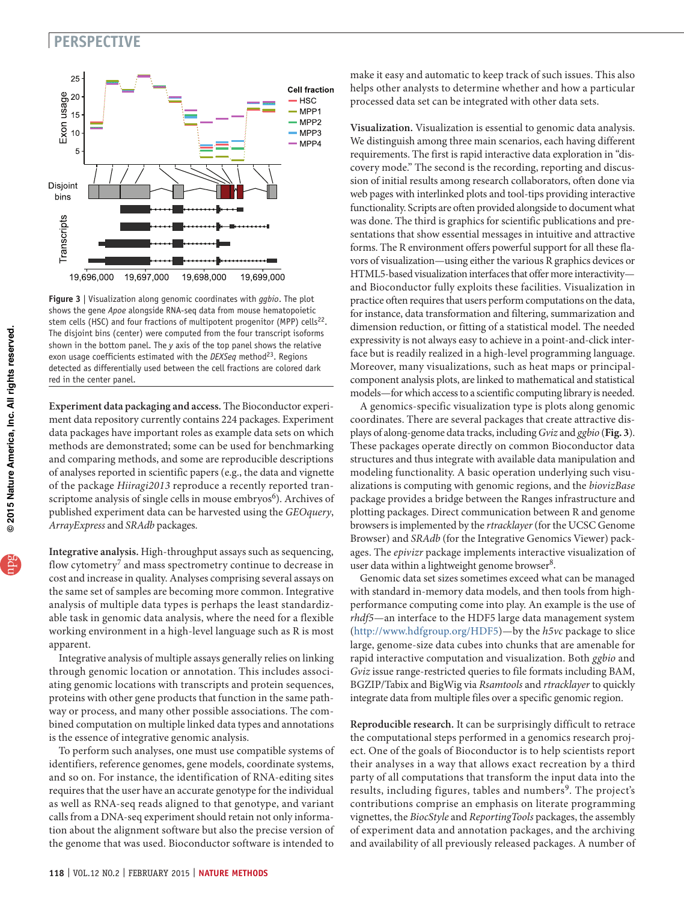

**Figure 3** | Visualization along genomic coordinates with *ggbio*. The plot shows the gene *Apoe* alongside RNA-seq data from mouse hematopoietic stem cells (HSC) and four fractions of multipotent progenitor (MPP) cells<sup>22</sup>. The disjoint bins (center) were computed from the four transcript isoforms shown in the bottom panel. The *y* axis of the top panel shows the relative exon usage coefficients estimated with the *DEXSeq* method<sup>23</sup>. Regions detected as differentially used between the cell fractions are colored dark red in the center panel.

**Experiment data packaging and access.** The Bioconductor experiment data repository currently contains 224 packages. Experiment data packages have important roles as example data sets on which methods are demonstrated; some can be used for benchmarking and comparing methods, and some are reproducible descriptions of analyses reported in scientific papers (e.g., the data and vignette of the package *Hiiragi2013* reproduce a recently reported transcriptome analysis of single cells in mouse embryos<sup>6</sup>). Archives of published experiment data can be harvested using the *GEOquery*, *ArrayExpress* and *SRAdb* packages.

**Integrative analysis.** High-throughput assays such as sequencing, flow cytometry<sup>7</sup> and mass spectrometry continue to decrease in cost and increase in quality. Analyses comprising several assays on the same set of samples are becoming more common. Integrative analysis of multiple data types is perhaps the least standardizable task in genomic data analysis, where the need for a flexible working environment in a high-level language such as R is most apparent.

Integrative analysis of multiple assays generally relies on linking through genomic location or annotation. This includes associating genomic locations with transcripts and protein sequences, proteins with other gene products that function in the same pathway or process, and many other possible associations. The combined computation on multiple linked data types and annotations is the essence of integrative genomic analysis.

To perform such analyses, one must use compatible systems of identifiers, reference genomes, gene models, coordinate systems, and so on. For instance, the identification of RNA-editing sites requires that the user have an accurate genotype for the individual as well as RNA-seq reads aligned to that genotype, and variant calls from a DNA-seq experiment should retain not only information about the alignment software but also the precise version of the genome that was used. Bioconductor software is intended to

make it easy and automatic to keep track of such issues. This also helps other analysts to determine whether and how a particular processed data set can be integrated with other data sets.

**Visualization.** Visualization is essential to genomic data analysis. We distinguish among three main scenarios, each having different requirements. The first is rapid interactive data exploration in "discovery mode." The second is the recording, reporting and discussion of initial results among research collaborators, often done via web pages with interlinked plots and tool-tips providing interactive functionality. Scripts are often provided alongside to document what was done. The third is graphics for scientific publications and presentations that show essential messages in intuitive and attractive forms. The R environment offers powerful support for all these flavors of visualization—using either the various R graphics devices or HTML5-based visualization interfaces that offer more interactivity and Bioconductor fully exploits these facilities. Visualization in practice often requires that users perform computations on the data, for instance, data transformation and filtering, summarization and dimension reduction, or fitting of a statistical model. The needed expressivity is not always easy to achieve in a point-and-click interface but is readily realized in a high-level programming language. Moreover, many visualizations, such as heat maps or principalcomponent analysis plots, are linked to mathematical and statistical models—for which access to a scientific computing library is needed.

A genomics-specific visualization type is plots along genomic coordinates. There are several packages that create attractive displays of along-genome data tracks, including *Gviz* and *ggbio* (**Fig. 3**). These packages operate directly on common Bioconductor data structures and thus integrate with available data manipulation and modeling functionality. A basic operation underlying such visualizations is computing with genomic regions, and the *biovizBase*  package provides a bridge between the Ranges infrastructure and plotting packages. Direct communication between R and genome browsers is implemented by the *rtracklayer* (for the UCSC Genome Browser) and *SRAdb* (for the Integrative Genomics Viewer) packages. The *epivizr* package implements interactive visualization of user data within a lightweight genome browser<sup>8</sup>.

Genomic data set sizes sometimes exceed what can be managed with standard in-memory data models, and then tools from highperformance computing come into play. An example is the use of *rhdf5*—an interface to the HDF5 large data management system [\(http://www.hdfgroup.org/HDF5\)](http://www.hdfgroup.org/HDF5)—by the *h5vc* package to slice large, genome-size data cubes into chunks that are amenable for rapid interactive computation and visualization. Both *ggbio* and *Gviz* issue range-restricted queries to file formats including BAM, BGZIP/Tabix and BigWig via *Rsamtools* and *rtracklayer* to quickly integrate data from multiple files over a specific genomic region.

**Reproducible research.** It can be surprisingly difficult to retrace the computational steps performed in a genomics research project. One of the goals of Bioconductor is to help scientists report their analyses in a way that allows exact recreation by a third party of all computations that transform the input data into the results, including figures, tables and numbers<sup>9</sup>. The project's contributions comprise an emphasis on literate programming vignettes, the *BiocStyle* and *ReportingTools* packages, the assembly of experiment data and annotation packages, and the archiving and availability of all previously released packages. A number of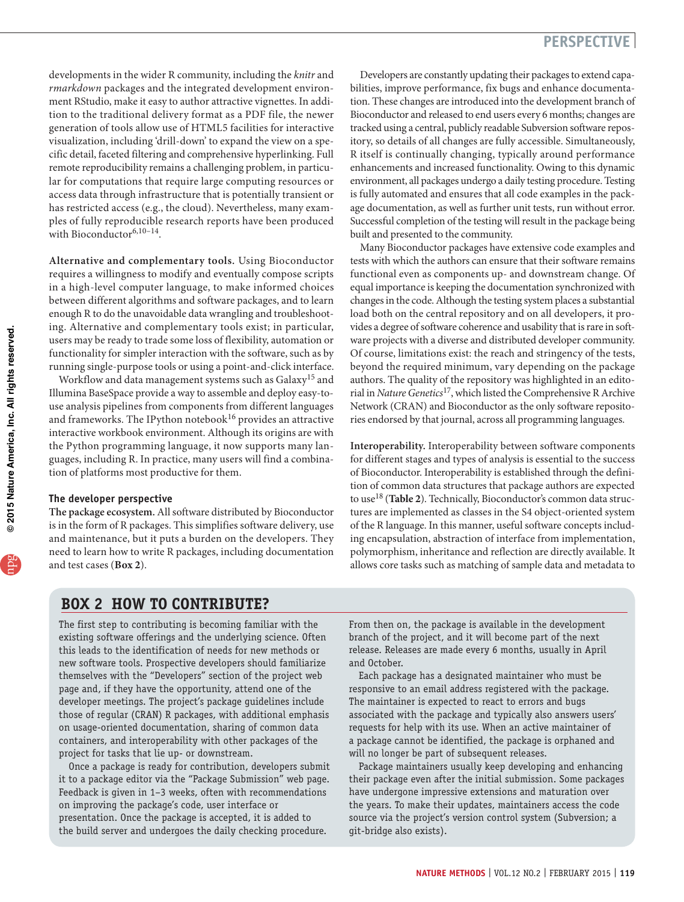developments in the wider R community, including the *knitr* and *rmarkdown* packages and the integrated development environment RStudio, make it easy to author attractive vignettes. In addition to the traditional delivery format as a PDF file, the newer generation of tools allow use of HTML5 facilities for interactive visualization, including 'drill-down' to expand the view on a specific detail, faceted filtering and comprehensive hyperlinking. Full remote reproducibility remains a challenging problem, in particular for computations that require large computing resources or access data through infrastructure that is potentially transient or has restricted access (e.g., the cloud). Nevertheless, many examples of fully reproducible research reports have been produced with Bioconductor<sup>6,10-14</sup>.

**Alternative and complementary tools.** Using Bioconductor requires a willingness to modify and eventually compose scripts in a high-level computer language, to make informed choices between different algorithms and software packages, and to learn enough R to do the unavoidable data wrangling and troubleshooting. Alternative and complementary tools exist; in particular, users may be ready to trade some loss of flexibility, automation or functionality for simpler interaction with the software, such as by running single-purpose tools or using a point-and-click interface.

Workflow and data management systems such as Galaxy<sup>15</sup> and Illumina BaseSpace provide a way to assemble and deploy easy-touse analysis pipelines from components from different languages and frameworks. The IPython notebook $^{16}$  provides an attractive interactive workbook environment. Although its origins are with the Python programming language, it now supports many languages, including R. In practice, many users will find a combination of platforms most productive for them.

#### **The developer perspective**

**The package ecosystem.** All software distributed by Bioconductor is in the form of R packages. This simplifies software delivery, use and maintenance, but it puts a burden on the developers. They need to learn how to write R packages, including documentation and test cases (**Box 2**).

Developers are constantly updating their packages to extend capabilities, improve performance, fix bugs and enhance documentation. These changes are introduced into the development branch of Bioconductor and released to end users every 6 months; changes are tracked using a central, publicly readable Subversion software repository, so details of all changes are fully accessible. Simultaneously, R itself is continually changing, typically around performance enhancements and increased functionality. Owing to this dynamic environment, all packages undergo a daily testing procedure. Testing is fully automated and ensures that all code examples in the package documentation, as well as further unit tests, run without error. Successful completion of the testing will result in the package being built and presented to the community.

Many Bioconductor packages have extensive code examples and tests with which the authors can ensure that their software remains functional even as components up- and downstream change. Of equal importance is keeping the documentation synchronized with changes in the code. Although the testing system places a substantial load both on the central repository and on all developers, it provides a degree of software coherence and usability that is rare in software projects with a diverse and distributed developer community. Of course, limitations exist: the reach and stringency of the tests, beyond the required minimum, vary depending on the package authors. The quality of the repository was highlighted in an editorial in *Nature Genetics*17, which listed the Comprehensive R Archive Network (CRAN) and Bioconductor as the only software repositories endorsed by that journal, across all programming languages.

**Interoperability.** Interoperability between software components for different stages and types of analysis is essential to the success of Bioconductor. Interoperability is established through the definition of common data structures that package authors are expected to use18 (**Table 2**). Technically, Bioconductor's common data structures are implemented as classes in the S4 object-oriented system of the R language. In this manner, useful software concepts including encapsulation, abstraction of interface from implementation, polymorphism, inheritance and reflection are directly available. It allows core tasks such as matching of sample data and metadata to

### **BOX 2 HOW TO CONTRIBUTE?**

The first step to contributing is becoming familiar with the existing software offerings and the underlying science. Often this leads to the identification of needs for new methods or new software tools. Prospective developers should familiarize themselves with the "Developers" section of the project web page and, if they have the opportunity, attend one of the developer meetings. The project's package guidelines include those of regular (CRAN) R packages, with additional emphasis on usage-oriented documentation, sharing of common data containers, and interoperability with other packages of the project for tasks that lie up- or downstream.

Once a package is ready for contribution, developers submit it to a package editor via the "Package Submission" web page. Feedback is given in 1–3 weeks, often with recommendations on improving the package's code, user interface or presentation. Once the package is accepted, it is added to the build server and undergoes the daily checking procedure.

From then on, the package is available in the development branch of the project, and it will become part of the next release. Releases are made every 6 months, usually in April and October.

Each package has a designated maintainer who must be responsive to an email address registered with the package. The maintainer is expected to react to errors and bugs associated with the package and typically also answers users' requests for help with its use. When an active maintainer of a package cannot be identified, the package is orphaned and will no longer be part of subsequent releases.

Package maintainers usually keep developing and enhancing their package even after the initial submission. Some packages have undergone impressive extensions and maturation over the years. To make their updates, maintainers access the code source via the project's version control system (Subversion; a git-bridge also exists).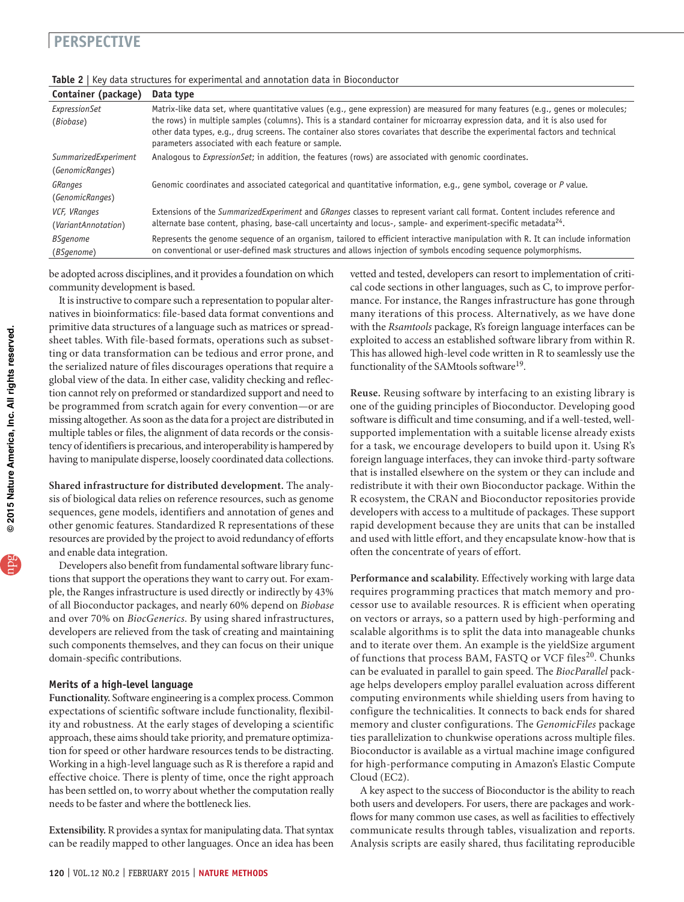| Container (package)        | Data type                                                                                                                                                                                                                                                          |
|----------------------------|--------------------------------------------------------------------------------------------------------------------------------------------------------------------------------------------------------------------------------------------------------------------|
| ExpressionSet<br>(Biobase) | Matrix-like data set, where quantitative values (e.g., gene expression) are measured for many features (e.g., genes or molecules;<br>the rows) in multiple samples (columns). This is a standard container for microarray expression data, and it is also used for |
|                            | other data types, e.g., drug screens. The container also stores covariates that describe the experimental factors and technical<br>parameters associated with each feature or sample.                                                                              |
| SummarizedExperiment       | Analogous to ExpressionSet; in addition, the features (rows) are associated with genomic coordinates.                                                                                                                                                              |
| (GenomicRanges)            |                                                                                                                                                                                                                                                                    |
| <b>GRanges</b>             | Genomic coordinates and associated categorical and quantitative information, e.g., gene symbol, coverage or P value.                                                                                                                                               |
| (GenomicRanges)            |                                                                                                                                                                                                                                                                    |
| VCF, VRanges               | Extensions of the SummarizedExperiment and GRanges classes to represent variant call format. Content includes reference and                                                                                                                                        |
| (VariantAnnotation)        | alternate base content, phasing, base-call uncertainty and locus-, sample- and experiment-specific metadata <sup>24</sup> .                                                                                                                                        |
| <b>BSgenome</b>            | Represents the genome sequence of an organism, tailored to efficient interactive manipulation with R. It can include information                                                                                                                                   |
| (BSgenome)                 | on conventional or user-defined mask structures and allows injection of symbols encoding sequence polymorphisms.                                                                                                                                                   |

### **Table 2** | Key data structures for experimental and annotation data in Bioconductor

be adopted across disciplines, and it provides a foundation on which community development is based.

It is instructive to compare such a representation to popular alternatives in bioinformatics: file-based data format conventions and primitive data structures of a language such as matrices or spreadsheet tables. With file-based formats, operations such as subsetting or data transformation can be tedious and error prone, and the serialized nature of files discourages operations that require a global view of the data. In either case, validity checking and reflection cannot rely on preformed or standardized support and need to be programmed from scratch again for every convention—or are missing altogether. As soon as the data for a project are distributed in multiple tables or files, the alignment of data records or the consistency of identifiers is precarious, and interoperability is hampered by having to manipulate disperse, loosely coordinated data collections.

**Shared infrastructure for distributed development.** The analysis of biological data relies on reference resources, such as genome sequences, gene models, identifiers and annotation of genes and other genomic features. Standardized R representations of these resources are provided by the project to avoid redundancy of efforts and enable data integration.

Developers also benefit from fundamental software library functions that support the operations they want to carry out. For example, the Ranges infrastructure is used directly or indirectly by 43% of all Bioconductor packages, and nearly 60% depend on *Biobase* and over 70% on *BiocGenerics*. By using shared infrastructures, developers are relieved from the task of creating and maintaining such components themselves, and they can focus on their unique domain-specific contributions.

### **Merits of a high-level language**

**Functionality.** Software engineering is a complex process. Common expectations of scientific software include functionality, flexibility and robustness. At the early stages of developing a scientific approach, these aims should take priority, and premature optimization for speed or other hardware resources tends to be distracting. Working in a high-level language such as R is therefore a rapid and effective choice. There is plenty of time, once the right approach has been settled on, to worry about whether the computation really needs to be faster and where the bottleneck lies.

**Extensibility.** R provides a syntax for manipulating data. That syntax can be readily mapped to other languages. Once an idea has been

vetted and tested, developers can resort to implementation of critical code sections in other languages, such as C, to improve performance. For instance, the Ranges infrastructure has gone through many iterations of this process. Alternatively, as we have done with the *Rsamtools* package, R's foreign language interfaces can be exploited to access an established software library from within R. This has allowed high-level code written in R to seamlessly use the functionality of the SAMtools software<sup>19</sup>.

**Reuse.** Reusing software by interfacing to an existing library is one of the guiding principles of Bioconductor. Developing good software is difficult and time consuming, and if a well-tested, wellsupported implementation with a suitable license already exists for a task, we encourage developers to build upon it. Using R's foreign language interfaces, they can invoke third-party software that is installed elsewhere on the system or they can include and redistribute it with their own Bioconductor package. Within the R ecosystem, the CRAN and Bioconductor repositories provide developers with access to a multitude of packages. These support rapid development because they are units that can be installed and used with little effort, and they encapsulate know-how that is often the concentrate of years of effort.

**Performance and scalability.** Effectively working with large data requires programming practices that match memory and processor use to available resources. R is efficient when operating on vectors or arrays, so a pattern used by high-performing and scalable algorithms is to split the data into manageable chunks and to iterate over them. An example is the yieldSize argument of functions that process BAM, FASTQ or VCF files<sup>20</sup>. Chunks can be evaluated in parallel to gain speed. The *BiocParallel* package helps developers employ parallel evaluation across different computing environments while shielding users from having to configure the technicalities. It connects to back ends for shared memory and cluster configurations. The *GenomicFiles* package ties parallelization to chunkwise operations across multiple files. Bioconductor is available as a virtual machine image configured for high-performance computing in Amazon's Elastic Compute Cloud (EC2).

A key aspect to the success of Bioconductor is the ability to reach both users and developers. For users, there are packages and workflows for many common use cases, as well as facilities to effectively communicate results through tables, visualization and reports. Analysis scripts are easily shared, thus facilitating reproducible